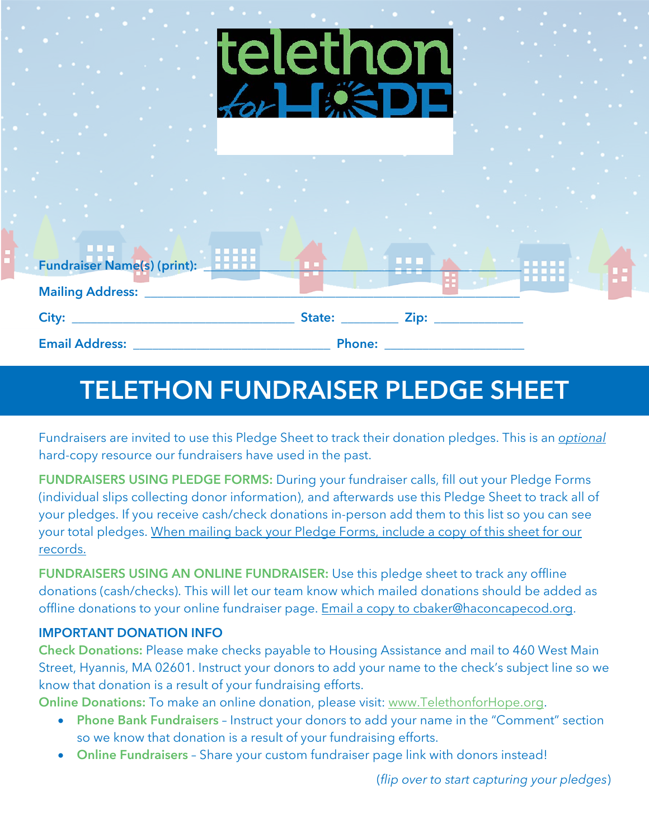| <b>Contract</b><br><b>Contract Contract</b><br><b>Contract</b><br>$\sim$ 10 $\pm$                                                                           | <b>Service Control</b><br>$\sim 10^{-1}$<br>$\mathcal{O}(n^{2} \log n^{2})$ . The $\mathcal{O}(n^{2})$<br><b>Contract</b><br><b>College</b>                                                                                    | $\mathcal{L}^{\mathcal{A}}$ , where $\mathcal{L}^{\mathcal{A}}$ is the contract of the $\mathcal{L}^{\mathcal{A}}$<br>the company's state<br><b>Contract Contract Contract</b><br><b>Contract</b> | <b>The Color</b><br>$\mathcal{L}(\mathcal{L})$ and $\mathcal{L}(\mathcal{L})$ . The contract of the $\mathcal{L}(\mathcal{L})$<br>the contract of the contract of the contract of | $\sim$<br><b>Contract Contract Contract</b><br>$\mathcal{L}_{\rm{max}}$ and $\mathcal{L}_{\rm{max}}$<br>$\sim$<br>$\sim 10^{-1}$<br>$\mathcal{A}^{\mathcal{A}}$ and $\mathcal{A}^{\mathcal{A}}$<br><b>College College</b>                                                                 |
|-------------------------------------------------------------------------------------------------------------------------------------------------------------|--------------------------------------------------------------------------------------------------------------------------------------------------------------------------------------------------------------------------------|---------------------------------------------------------------------------------------------------------------------------------------------------------------------------------------------------|-----------------------------------------------------------------------------------------------------------------------------------------------------------------------------------|-------------------------------------------------------------------------------------------------------------------------------------------------------------------------------------------------------------------------------------------------------------------------------------------|
| <b>Contract</b><br><b>Service</b><br><b>Signal</b><br>$\sim$<br><b>Contract Contract</b><br><b>SALE</b><br><b>Contractor</b><br>$\sim 10$<br>$\sim 10^{-1}$ | <b>All Control</b><br>$\mathcal{L} = \{ \mathcal{L} \}$ .<br>the control of the control<br>$\mathcal{O}(\mathcal{O}_\mathcal{O})$ . The $\mathcal{O}(\mathcal{O}_\mathcal{O})$<br>$\sim$<br>$\sim$<br><b>State State State</b> | <b>COL</b><br><u> Maria Maria A</u>                                                                                                                                                               | <b>Contract Contract Contract Contract</b><br><b>The Committee</b><br>the control of the control of                                                                               | $\sim 10^{-1}$<br><b>Contract Contract</b><br><b>Contract</b><br>the company of the company<br>$\mathcal{L}_{\text{max}}$ , and $\mathcal{L}_{\text{max}}$<br>$\mathcal{A}=\mathcal{A}$ , where $\mathcal{A}=\mathcal{A}$<br><b>STATE OF BUILDING</b><br>$\sim$ $\sim$<br><b>Contract</b> |
| $\sim 10^{-1}$<br><b>Contract</b><br>$\sim$<br><b>THE REAL PROPERTY OF</b><br>Fundraiser Name(s) (print): 11111                                             | <b>Contract</b><br><b>Contract Contract</b><br>the control of the control of the<br><b>CONTRACTOR</b><br><u>a mata</u>                                                                                                         | <b>All Construction</b><br><b>Contract</b><br>$\sim 10^{-1}$                                                                                                                                      | <b>Contract Contract Contract</b>                                                                                                                                                 | $\sim$ 100 $\sim$ 100 $\sim$<br>$\sim 10^{-1}$<br><b>THEFT</b>                                                                                                                                                                                                                            |
| Mailing Address: ____<br>City: $\overline{\phantom{a}}$<br>Email Address: ___                                                                               |                                                                                                                                                                                                                                | State: ______________ Zip: _____<br>Phone: __________                                                                                                                                             |                                                                                                                                                                                   |                                                                                                                                                                                                                                                                                           |

## **TELETHON FUNDRAISER PLEDGE SHEET**

Fundraisers are invited to use this Pledge Sheet to track their donation pledges. This is an *optional* hard-copy resource our fundraisers have used in the past.

**FUNDRAISERS USING PLEDGE FORMS:** During your fundraiser calls, fill out your Pledge Forms (individual slips collecting donor information), and afterwards use this Pledge Sheet to track all of your pledges. If you receive cash/check donations in-person add them to this list so you can see your total pledges. When mailing back your Pledge Forms, include a copy of this sheet for our records.

**FUNDRAISERS USING AN ONLINE FUNDRAISER:** Use this pledge sheet to track any offline donations (cash/checks). This will let our team know which mailed donations should be added as offline donations to your online fundraiser page. Email a copy to cbaker@haconcapecod.org.

## **IMPORTANT DONATION INFO**

**Check Donations:** Please make checks payable to Housing Assistance and mail to 460 West Main Street, Hyannis, MA 02601. Instruct your donors to add your name to the check's subject line so we know that donation is a result of your fundraising efforts.

**Online Donations:** To make an online donation, please visit: www.TelethonforHope.org.

- **Phone Bank Fundraisers** Instruct your donors to add your name in the "Comment" section so we know that donation is a result of your fundraising efforts.
- **Online Fundraisers** Share your custom fundraiser page link with donors instead!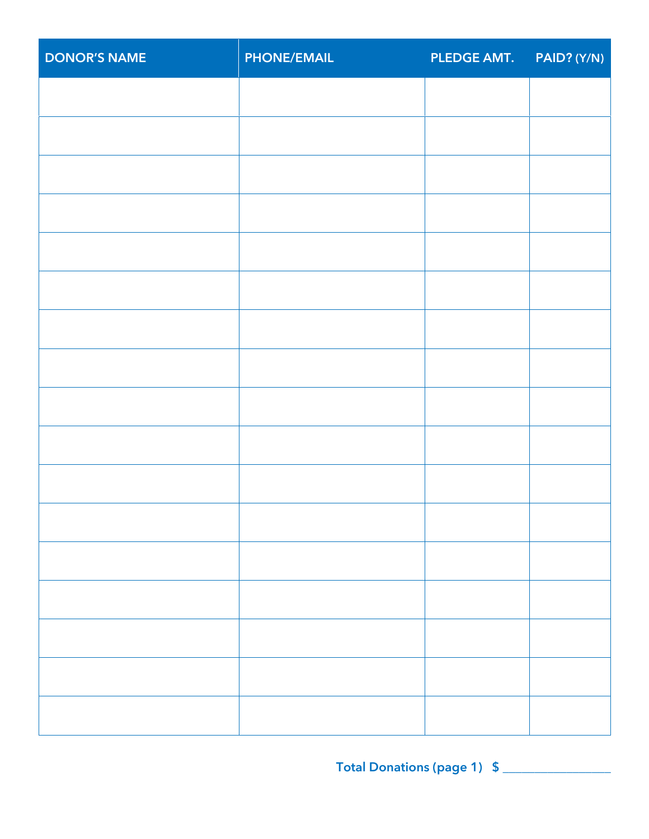| <b>DONOR'S NAME</b> | <b>PHONE/EMAIL</b> | PLEDGE AMT. PAID? (Y/N) |  |
|---------------------|--------------------|-------------------------|--|
|                     |                    |                         |  |
|                     |                    |                         |  |
|                     |                    |                         |  |
|                     |                    |                         |  |
|                     |                    |                         |  |
|                     |                    |                         |  |
|                     |                    |                         |  |
|                     |                    |                         |  |
|                     |                    |                         |  |
|                     |                    |                         |  |
|                     |                    |                         |  |
|                     |                    |                         |  |
|                     |                    |                         |  |
|                     |                    |                         |  |
|                     |                    |                         |  |
|                     |                    |                         |  |
|                     |                    |                         |  |
|                     |                    |                         |  |
|                     |                    |                         |  |

**Total Donations (page 1) \$** \_\_\_\_\_\_\_\_\_\_\_\_\_\_\_\_\_